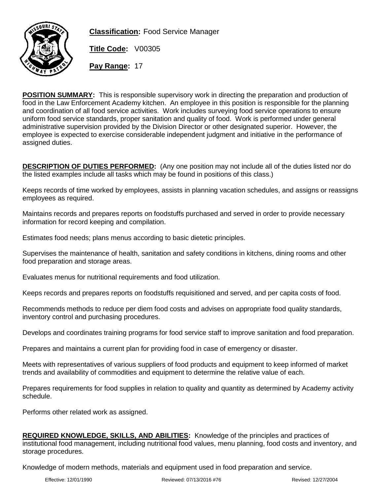

**Classification:** Food Service Manager

**Title Code:** V00305

**Pay Range:** 17

**POSITION SUMMARY:** This is responsible supervisory work in directing the preparation and production of food in the Law Enforcement Academy kitchen. An employee in this position is responsible for the planning and coordination of all food service activities. Work includes surveying food service operations to ensure uniform food service standards, proper sanitation and quality of food. Work is performed under general administrative supervision provided by the Division Director or other designated superior. However, the employee is expected to exercise considerable independent judgment and initiative in the performance of assigned duties.

**DESCRIPTION OF DUTIES PERFORMED:** (Any one position may not include all of the duties listed nor do the listed examples include all tasks which may be found in positions of this class.)

Keeps records of time worked by employees, assists in planning vacation schedules, and assigns or reassigns employees as required.

Maintains records and prepares reports on foodstuffs purchased and served in order to provide necessary information for record keeping and compilation.

Estimates food needs; plans menus according to basic dietetic principles.

Supervises the maintenance of health, sanitation and safety conditions in kitchens, dining rooms and other food preparation and storage areas.

Evaluates menus for nutritional requirements and food utilization.

Keeps records and prepares reports on foodstuffs requisitioned and served, and per capita costs of food.

Recommends methods to reduce per diem food costs and advises on appropriate food quality standards, inventory control and purchasing procedures.

Develops and coordinates training programs for food service staff to improve sanitation and food preparation.

Prepares and maintains a current plan for providing food in case of emergency or disaster.

Meets with representatives of various suppliers of food products and equipment to keep informed of market trends and availability of commodities and equipment to determine the relative value of each.

Prepares requirements for food supplies in relation to quality and quantity as determined by Academy activity schedule.

Performs other related work as assigned.

**REQUIRED KNOWLEDGE, SKILLS, AND ABILITIES:** Knowledge of the principles and practices of institutional food management, including nutritional food values, menu planning, food costs and inventory, and storage procedures.

Knowledge of modern methods, materials and equipment used in food preparation and service.

Effective: 12/01/1990 Reviewed: 07/13/2016 #76 Revised: 12/27/2004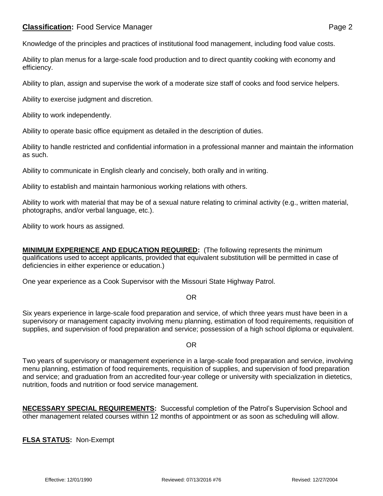Knowledge of the principles and practices of institutional food management, including food value costs.

Ability to plan menus for a large-scale food production and to direct quantity cooking with economy and efficiency.

Ability to plan, assign and supervise the work of a moderate size staff of cooks and food service helpers.

Ability to exercise judgment and discretion.

Ability to work independently.

Ability to operate basic office equipment as detailed in the description of duties.

Ability to handle restricted and confidential information in a professional manner and maintain the information as such.

Ability to communicate in English clearly and concisely, both orally and in writing.

Ability to establish and maintain harmonious working relations with others.

Ability to work with material that may be of a sexual nature relating to criminal activity (e.g., written material, photographs, and/or verbal language, etc.).

Ability to work hours as assigned.

**MINIMUM EXPERIENCE AND EDUCATION REQUIRED:** (The following represents the minimum qualifications used to accept applicants, provided that equivalent substitution will be permitted in case of deficiencies in either experience or education.)

One year experience as a Cook Supervisor with the Missouri State Highway Patrol.

## OR

Six years experience in large-scale food preparation and service, of which three years must have been in a supervisory or management capacity involving menu planning, estimation of food requirements, requisition of supplies, and supervision of food preparation and service; possession of a high school diploma or equivalent.

## OR

Two years of supervisory or management experience in a large-scale food preparation and service, involving menu planning, estimation of food requirements, requisition of supplies, and supervision of food preparation and service; and graduation from an accredited four-year college or university with specialization in dietetics, nutrition, foods and nutrition or food service management.

**NECESSARY SPECIAL REQUIREMENTS:** Successful completion of the Patrol's Supervision School and other management related courses within 12 months of appointment or as soon as scheduling will allow.

**FLSA STATUS:** Non-Exempt